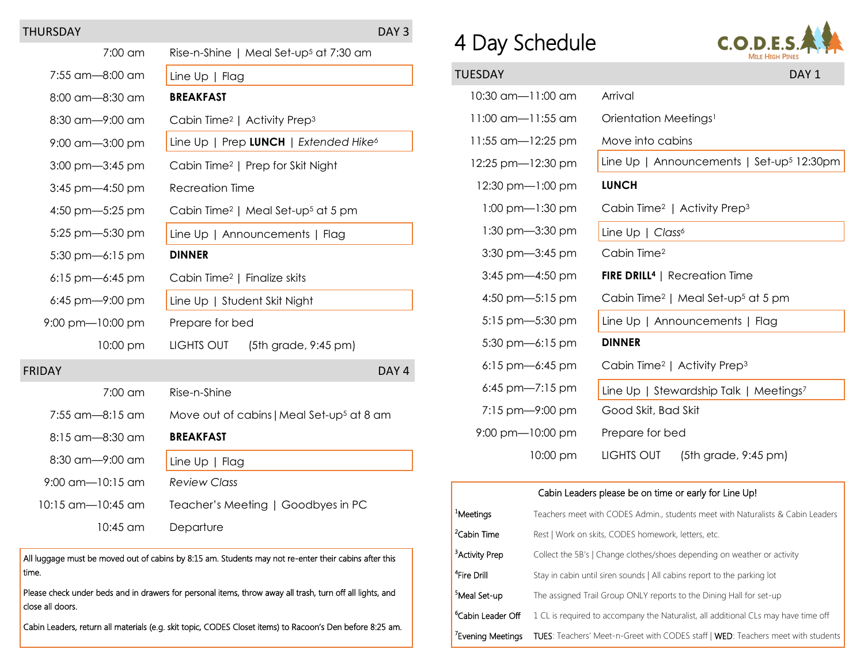## THURSDAY DAY 3

| 7:00 am                     | Rise-n-Shine   Meal Set-up <sup>5</sup> at 7:30 am         |  |  |
|-----------------------------|------------------------------------------------------------|--|--|
| 7:55 am-8:00 am             | Line Up   Flag                                             |  |  |
| 8:00 am-8:30 am             | <b>BREAKFAST</b>                                           |  |  |
| 8:30 am-9:00 am             | Cabin Time <sup>2</sup>   Activity Prep <sup>3</sup>       |  |  |
| 9:00 am-3:00 pm             | Line Up   Prep LUNCH   Extended Hike <sup>6</sup>          |  |  |
| 3:00 pm-3:45 pm             | Cabin Time <sup>2</sup>   Prep for Skit Night              |  |  |
| 3:45 pm-4:50 pm             | <b>Recreation Time</b>                                     |  |  |
| 4:50 pm- $-5:25$ pm         | Cabin Time <sup>2</sup>   Meal Set-up <sup>5</sup> at 5 pm |  |  |
| 5:25 pm-5:30 pm             | Line Up   Announcements   Flag                             |  |  |
| $5:30$ pm-6:15 pm           | <b>DINNER</b>                                              |  |  |
| $6:15$ pm- $6:45$ pm        | Cabin Time <sup>2</sup>   Finalize skits                   |  |  |
| $6:45$ pm-9:00 pm           | Line Up   Student Skit Night                               |  |  |
| $9:00$ pm $-10:00$ pm       | Prepare for bed                                            |  |  |
| 10:00 pm                    | LIGHTS OUT<br>(5th grade, 9:45 pm)                         |  |  |
| <b>FRIDAY</b>               | DAY <sub>4</sub>                                           |  |  |
| $7:00$ am                   | Rise-n-Shine                                               |  |  |
| 7:55 am-8:15 am             | Move out of cabins   Meal Set-up <sup>5</sup> at 8 am      |  |  |
| 8:15 am-8:30 am             | <b>BREAKFAST</b>                                           |  |  |
| 8:30 am-9:00 am             | Line $Up \mid Flag$                                        |  |  |
| $9:00 \text{ cm}$ -10:15 am | <b>Review Class</b>                                        |  |  |
| 10:15 am—10:45 am           | Teacher's Meeting   Goodbyes in PC                         |  |  |
| $10:45$ am                  | Departure                                                  |  |  |

All luggage must be moved out of cabins by 8:15 am. Students may not re-enter their cabins after this time.

Please check under beds and in drawers for personal items, throw away all trash, turn off all lights, and close all doors.

Cabin Leaders, return all materials (e.g. skit topic, CODES Closet items) to Racoon's Den before 8:25 am.

## 4 Day Schedule



| TUESDAY                     | DAY <sub>1</sub>                                           |  |  |
|-----------------------------|------------------------------------------------------------|--|--|
| 10:30 am-11:00 am           | Arrival                                                    |  |  |
| 11:00 am—11:55 am           | Orientation Meetings <sup>1</sup>                          |  |  |
| 11:55 am-12:25 pm           | Move into cabins                                           |  |  |
| 12:25 pm-12:30 pm           | Line Up   Announcements   Set-up <sup>5</sup> 12:30pm      |  |  |
| 12:30 pm-1:00 pm            | <b>LUNCH</b>                                               |  |  |
| $1:00$ pm $-1:30$ pm        | Cabin Time <sup>2</sup>   Activity Prep <sup>3</sup>       |  |  |
| $1:30$ pm $-3:30$ pm        | Line Up   Class <sup>6</sup>                               |  |  |
| $3:30$ pm $-3:45$ pm        | Cabin Time <sup>2</sup>                                    |  |  |
| $3:45$ pm $-4:50$ pm        | <b>FIRE DRILL<sup>4</sup></b>   Recreation Time            |  |  |
| 4:50 pm $-5:15$ pm          | Cabin Time <sup>2</sup>   Meal Set-up <sup>5</sup> at 5 pm |  |  |
| $5:15$ pm $-5:30$ pm        | Line Up   Announcements   Flag                             |  |  |
| $5:30$ pm-6:15 pm           | <b>DINNER</b>                                              |  |  |
| $6:15$ pm $-6:45$ pm        | Cabin Time <sup>2</sup>   Activity Prep <sup>3</sup>       |  |  |
| 6:45 pm- $7:15$ pm          | Line Up   Stewardship Talk   Meetings <sup>7</sup>         |  |  |
| $7:15$ pm $-9:00$ pm        | Good Skit, Bad Skit                                        |  |  |
| $9:00 \text{ pm}$ -10:00 pm | Prepare for bed                                            |  |  |
| 10:00 pm                    | LIGHTS OUT<br>$(5th)$ grade, 9:45 pm)                      |  |  |

## Cabin Leaders please be on time or early for Line Up! <sup>1</sup>Meetings Teachers meet with CODES Admin., students meet with Naturalists & Cabin Leaders <sup>2</sup>Cabin Time Rest | Work on skits, CODES homework, letters, etc. <sup>3</sup> Activity Prep Collect the 5B's | Change clothes/shoes depending on weather or activity <sup>4</sup>Fire Drill Stay in cabin until siren sounds | All cabins report to the parking lot **5Meal Set-up** The assigned Trail Group ONLY reports to the Dining Hall for set-up  $^{6}$ Cabin Leader Off 1 CL is required to accompany the Naturalist, all additional CLs may have time off <sup>7</sup>Evening Meetings TUES: Teachers' Meet-n-Greet with CODES staff | WED: Teachers meet with students